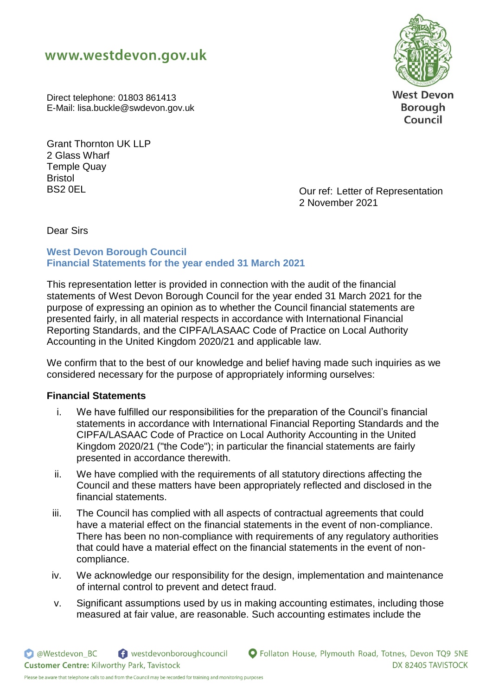



**Borough** Council

Direct telephone: 01803 861413 E-Mail: lisa.buckle@swdevon.gov.uk

Grant Thornton UK LLP 2 Glass Wharf Temple Quay Bristol

BS2 0EL **DEL BS2 0EL EXECUTE:** Our ref: Letter of Representation 2 November 2021

Dear Sirs

### **West Devon Borough Council Financial Statements for the year ended 31 March 2021**

This representation letter is provided in connection with the audit of the financial statements of West Devon Borough Council for the year ended 31 March 2021 for the purpose of expressing an opinion as to whether the Council financial statements are presented fairly, in all material respects in accordance with International Financial Reporting Standards, and the CIPFA/LASAAC Code of Practice on Local Authority Accounting in the United Kingdom 2020/21 and applicable law.

We confirm that to the best of our knowledge and belief having made such inquiries as we considered necessary for the purpose of appropriately informing ourselves:

## **Financial Statements**

- i. We have fulfilled our responsibilities for the preparation of the Council's financial statements in accordance with International Financial Reporting Standards and the CIPFA/LASAAC Code of Practice on Local Authority Accounting in the United Kingdom 2020/21 ("the Code"); in particular the financial statements are fairly presented in accordance therewith.
- ii. We have complied with the requirements of all statutory directions affecting the Council and these matters have been appropriately reflected and disclosed in the financial statements.
- iii. The Council has complied with all aspects of contractual agreements that could have a material effect on the financial statements in the event of non-compliance. There has been no non-compliance with requirements of any regulatory authorities that could have a material effect on the financial statements in the event of noncompliance.
- iv. We acknowledge our responsibility for the design, implementation and maintenance of internal control to prevent and detect fraud.
- v. Significant assumptions used by us in making accounting estimates, including those measured at fair value, are reasonable. Such accounting estimates include the

**O** @Westdevon BC

**Customer Centre: Kilworthy Park, Tavistock** 

westdevonboroughcouncil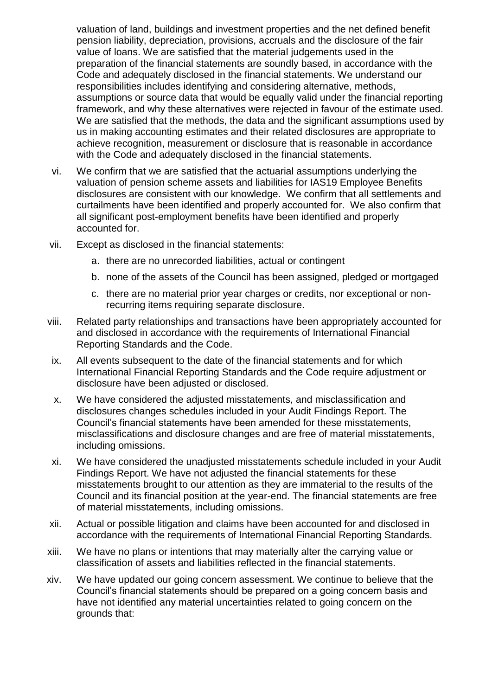valuation of land, buildings and investment properties and the net defined benefit pension liability, depreciation, provisions, accruals and the disclosure of the fair value of loans. We are satisfied that the material judgements used in the preparation of the financial statements are soundly based, in accordance with the Code and adequately disclosed in the financial statements. We understand our responsibilities includes identifying and considering alternative, methods, assumptions or source data that would be equally valid under the financial reporting framework, and why these alternatives were rejected in favour of the estimate used. We are satisfied that the methods, the data and the significant assumptions used by us in making accounting estimates and their related disclosures are appropriate to achieve recognition, measurement or disclosure that is reasonable in accordance with the Code and adequately disclosed in the financial statements.

- vi. We confirm that we are satisfied that the actuarial assumptions underlying the valuation of pension scheme assets and liabilities for IAS19 Employee Benefits disclosures are consistent with our knowledge. We confirm that all settlements and curtailments have been identified and properly accounted for. We also confirm that all significant post-employment benefits have been identified and properly accounted for.
- vii. Except as disclosed in the financial statements:
	- a. there are no unrecorded liabilities, actual or contingent
	- b. none of the assets of the Council has been assigned, pledged or mortgaged
	- c. there are no material prior year charges or credits, nor exceptional or nonrecurring items requiring separate disclosure.
- viii. Related party relationships and transactions have been appropriately accounted for and disclosed in accordance with the requirements of International Financial Reporting Standards and the Code.
- ix. All events subsequent to the date of the financial statements and for which International Financial Reporting Standards and the Code require adjustment or disclosure have been adjusted or disclosed.
- x. We have considered the adjusted misstatements, and misclassification and disclosures changes schedules included in your Audit Findings Report. The Council's financial statements have been amended for these misstatements, misclassifications and disclosure changes and are free of material misstatements, including omissions.
- xi. We have considered the unadjusted misstatements schedule included in your Audit Findings Report. We have not adjusted the financial statements for these misstatements brought to our attention as they are immaterial to the results of the Council and its financial position at the year-end. The financial statements are free of material misstatements, including omissions.
- xii. Actual or possible litigation and claims have been accounted for and disclosed in accordance with the requirements of International Financial Reporting Standards.
- xiii. We have no plans or intentions that may materially alter the carrying value or classification of assets and liabilities reflected in the financial statements.
- xiv. We have updated our going concern assessment. We continue to believe that the Council's financial statements should be prepared on a going concern basis and have not identified any material uncertainties related to going concern on the grounds that: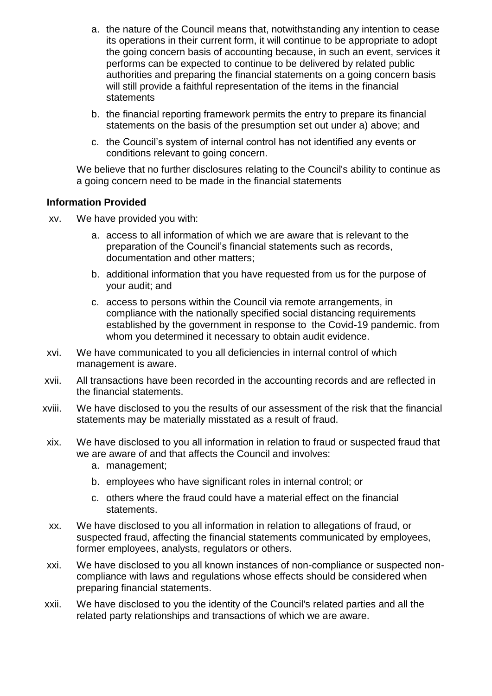- a. the nature of the Council means that, notwithstanding any intention to cease its operations in their current form, it will continue to be appropriate to adopt the going concern basis of accounting because, in such an event, services it performs can be expected to continue to be delivered by related public authorities and preparing the financial statements on a going concern basis will still provide a faithful representation of the items in the financial statements
- b. the financial reporting framework permits the entry to prepare its financial statements on the basis of the presumption set out under a) above; and
- c. the Council's system of internal control has not identified any events or conditions relevant to going concern.

We believe that no further disclosures relating to the Council's ability to continue as a going concern need to be made in the financial statements

#### **Information Provided**

- xv. We have provided you with:
	- a. access to all information of which we are aware that is relevant to the preparation of the Council's financial statements such as records, documentation and other matters;
	- b. additional information that you have requested from us for the purpose of your audit; and
	- c. access to persons within the Council via remote arrangements, in compliance with the nationally specified social distancing requirements established by the government in response to the Covid-19 pandemic. from whom you determined it necessary to obtain audit evidence.
- xvi. We have communicated to you all deficiencies in internal control of which management is aware.
- xvii. All transactions have been recorded in the accounting records and are reflected in the financial statements.
- xviii. We have disclosed to you the results of our assessment of the risk that the financial statements may be materially misstated as a result of fraud.
- xix. We have disclosed to you all information in relation to fraud or suspected fraud that we are aware of and that affects the Council and involves:
	- a. management;
	- b. employees who have significant roles in internal control; or
	- c. others where the fraud could have a material effect on the financial statements.
- xx. We have disclosed to you all information in relation to allegations of fraud, or suspected fraud, affecting the financial statements communicated by employees, former employees, analysts, regulators or others.
- xxi. We have disclosed to you all known instances of non-compliance or suspected noncompliance with laws and regulations whose effects should be considered when preparing financial statements.
- xxii. We have disclosed to you the identity of the Council's related parties and all the related party relationships and transactions of which we are aware.